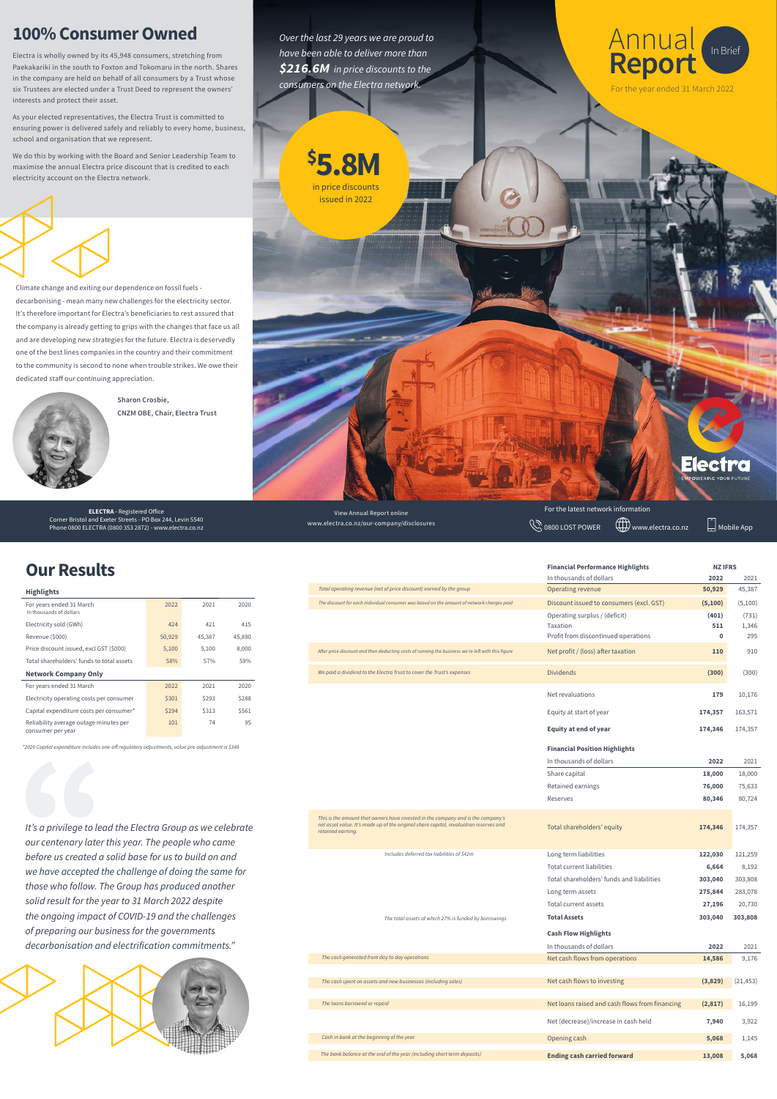### View Annual Report online www.electra.co.nz/our-company/disclosures

**ELECTRA** - Registered Office Corner Bristol and Exeter Streets - PO Box 244, Levin 5540 Corner Bristol and Exeter Streets - PO Box 244, Levin 5540<br>Phone 0800 ELECTRA (0800 353 2872) - www.electra.co.nz Mobile App www.electra.co.nz/our-company/disclosures (@\undextra.co.nz \@\undextra.co.nz \@\undextra.co.nz \

## **100% Consumer Owned**

Electra is wholly owned by its 45,948 consumers, stretching from Paekakariki in the south to Foxton and Tokomaru in the north. Shares in the company are held on behalf of all consumers by a Trust whose six Trustees are elected under a Trust Deed to represent the owners' interests and protect their asset.

As your elected representatives, the Electra Trust is committed to ensuring power is delivered safely and reliably to every home, business, school and organisation that we represent.

We do this by working with the Board and Senior Leadership Team to maximise the annual Electra price discount that is credited to each electricity account on the Electra network.



| <b>Highlights</b>                                           |        |        |        |
|-------------------------------------------------------------|--------|--------|--------|
| For years ended 31 March<br>In thousands of dollars         | 2022   | 2021   | 2020   |
| Electricity sold (GWh)                                      | 424    | 421    | 415    |
| Revenue (\$000)                                             | 50,929 | 45,387 | 45,890 |
| Price discount issued, excl GST (\$000)                     | 5,100  | 5,100  | 8,000  |
| Total shareholders' funds to total assets                   | 58%    | 57%    | 59%    |
| <b>Network Company Only</b>                                 |        |        |        |
| For years ended 31 March                                    | 2022   | 2021   | 2020   |
| Electricity operating costs per consumer                    | \$301  | \$293  | \$288  |
| Capital expenditure costs per consumer*                     | \$294  | \$313  | \$561  |
| Reliability average outage minutes per<br>consumer per year | 101    | 74     | 95     |

*This is the amount that owners have invested in the company and is the company's net asset value. It's made up of the original share capital, revaluation reserves and* 



| retained earning.                                             | rotat sharenotacis cquity                      |          | 11,00 i   |
|---------------------------------------------------------------|------------------------------------------------|----------|-----------|
| Includes deferred tax liabilities of \$42m                    | Long term liabilities                          | 122,030  | 121,259   |
|                                                               | Total current liabilities                      | 6,664    | 8,192     |
|                                                               | Total shareholders' funds and liabilities      | 303,040  | 303,808   |
|                                                               | Long term assets                               | 275,844  | 283,078   |
|                                                               | Total current assets                           | 27,196   | 20,730    |
| The total assets of which 27% is funded by borrowings         | <b>Total Assets</b>                            | 303,040  | 303,808   |
| <b>Cash Flow Highlights</b>                                   |                                                |          |           |
|                                                               | In thousands of dollars                        | 2022     | 2021      |
|                                                               |                                                |          |           |
| The cash generated from day to day operations                 | Net cash flows from operations                 | 14,586   | 9,176     |
|                                                               |                                                |          |           |
| The cash spent on assets and new businesses (including sales) | Net cash flows to investing                    | (3,829)  | (21, 453) |
|                                                               |                                                |          |           |
| The loans borrowed or repaid                                  | Net loans raised and cash flows from financing | (2, 817) | 16,199    |
|                                                               | Net (decrease)/increase in cash held           | 7,940    | 3,922     |
| Cash in bank at the beginning of the year                     | Opening cash                                   | 5,068    | 1,145     |

Total shareholders' equity **174,346** 174,357

*It's a privilege to lead the Electra Group as we celebrate* 

*our centenary later this year. The people who came before us created a solid base for us to build on and we have accepted the challenge of doing the same for those who follow. The Group has produced another solid result for the year to 31 March 2022 despite the ongoing impact of COVID-19 and the challenges of preparing our business for the governments decarbonisation and electrification commitments."*



*\*2020 Capital expenditure includes one-off regulatory adjustments, value pre-adjustment is \$348*



Elect

## **Our Results**

*Over the last 29 years we are proud to have been able to deliver more than*   $$216.6M$  in price discounts to the *consumers on the Electra network.*



Climate change and exiting our dependence on fossil fuels decarbonising - mean many new challenges for the electricity sector. It's therefore important for Electra's beneficiaries to rest assured that the company is already getting to grips with the changes that face us all and are developing new strategies for the future. Electra is deservedly one of the best lines companies in the country and their commitment to the community is second to none when trouble strikes. We owe their dedicated staff our continuing appreciation.



**\$ 5.8M**

in price discounts issued in 2022

**Sharon Crosbie, CNZM OBE, Chair, Electra Trust**